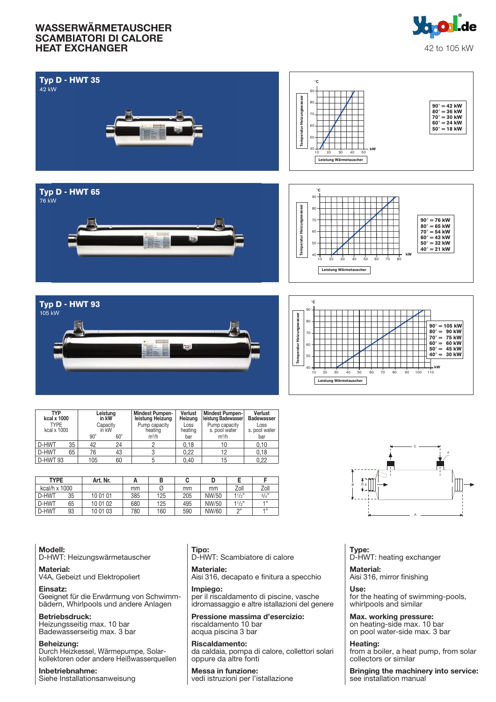

| <b>Typ D - HWT 35</b><br>42 kW                                                                                                                                                                                                                              | $^\circ \texttt{C}$<br>90<br>Temperatur Heizungswasser<br>80.<br>$90^\circ = 42$ kW<br>$80^\circ = 36$ kW<br>70.<br>$70^\circ = 30$ kW<br>$60^\circ = 24$ kW<br>60<br>$50^\circ = 18$ kW<br>50<br>kW<br>40<br>30<br>40<br>50<br>10<br>20<br>Leistung Wärmetauscher                                                                       |
|-------------------------------------------------------------------------------------------------------------------------------------------------------------------------------------------------------------------------------------------------------------|------------------------------------------------------------------------------------------------------------------------------------------------------------------------------------------------------------------------------------------------------------------------------------------------------------------------------------------|
| Typ D - HWT 65<br>76 kW                                                                                                                                                                                                                                     | ۰c<br>90<br>Temperatur Heizungswasser<br>80<br>$90^\circ = 76$ kW<br>70<br>$80^\circ = 65$ kW<br>60<br>$70^\circ = 54$ kW<br>$60^\circ = 43$ kW<br>$50^\circ = 32$ kW<br>50<br>$40^\circ = 21$ kW<br>kW<br>40<br>30<br>40<br>50<br>60<br>70<br>80<br>10<br>$20^{\circ}$<br>Leistung Wärmetauscher                                        |
| Typ D - HWT 93<br>105 kW                                                                                                                                                                                                                                    | $^{\circ}{\rm C}$<br>90<br>Temperatur Heizungswasser<br>80<br>$90^\circ = 105$ kW<br>$80^\circ = 90$ kW<br>70<br>$70^\circ = 75$ kW<br>$60^\circ = 60$ kW<br>60<br>$50^\circ = 45$ kW<br>$40^\circ = 30$ kW<br>50<br>kW<br>40 <sub>1</sub><br>50<br>110<br>10<br>20<br>30<br>40<br>60<br>70<br>80<br>90<br>100<br>Leistung Wärmetauscher |
| <b>TYP</b><br>Mindest Pumpen-<br>Mindest Pumpen-<br>leistung Badewasser<br>Verlust<br>Leistung<br>Verlust<br>kcal x 1000<br>Badewasser<br>in kW<br>leistung Heizung<br>Heizung<br><b>TYPE</b><br>Pump capacity<br>Pump capacity<br>Capacity<br>Loss<br>Loss |                                                                                                                                                                                                                                                                                                                                          |

| ITP<br>Leistung<br>in kW<br>kcal x 1000 |          |                          |     | Mindest Pumpen-<br>leistung Heizung | veriust<br>Heizung | Mindest Pumpen-<br>leistung Badewasser | veriust<br><b>Badewasser</b> |      |
|-----------------------------------------|----------|--------------------------|-----|-------------------------------------|--------------------|----------------------------------------|------------------------------|------|
| <b>TYPE</b><br>kcal x 1000              |          | Capacitv<br>in kW        |     | Pump capacity<br>heating            | Loss<br>heating    | Pump capacity<br>s. pool water         | Loss<br>s. pool water        |      |
|                                         |          | $90^\circ$<br>$60^\circ$ |     | $m^3/h$                             | bar                | m <sup>3</sup> /h                      | bar                          |      |
|                                         | D-HWT    | 35                       | 42  | 24                                  |                    | 0.18                                   |                              | 0.10 |
|                                         | D-HWT    | 65                       | 76  | 43                                  | υ                  | 0.22                                   | 12                           | 0.18 |
|                                         | D-HWT 93 |                          | 105 | 60                                  |                    | 0.40                                   | 15                           | 0.22 |

| <b>TYPE</b>   |    | Art. Nr. |     | В   |     |       |       |        |
|---------------|----|----------|-----|-----|-----|-------|-------|--------|
| kcal/h x 1000 |    |          | mm  | Ø   | mm  | mm    | Zoll  | Zoll   |
| D-HWT         | 35 | 10 01 01 | 385 | 125 | 205 | NW/50 | 11/2" | 3/4"   |
| D-HWT         | 65 | 10 01 02 | 680 | 125 | 495 | NW/50 | 11/2" | $-133$ |
| D-HWT         | 93 | 10 01 03 | 780 | 160 | 590 | NW/60 | יי ה  | $-133$ |



#### Modell:

D-HWT: Heizungswärmetauscher

Material: V4A, Gebeizt und Elektropoliert

Einsatz:

Geeignet für die Erwärmung von Schwimmbädern, Whirlpools und andere Anlagen

#### Betriebsdruck:

Heizungsseitig max. 10 bar Badewasserseitig max. 3 bar

Beheizung: Durch Heizkessel, Wärmepumpe, Solarkollektoren oder andere Heißwasserquellen

Inbetriebnahme: Siehe Installationsanweisung Tipo: D-HWT: Scambiatore di calore

Materiale: Aisi 316, decapato e finitura a specchio

Impiego: per il riscaldamento di piscine, vasche idromassaggio e altre istallazioni del genere

Pressione massima d'esercizio: riscaldamento 10 bar acqua piscina 3 bar

Riscaldamento: da caldaia, pompa di calore, collettori solari oppure da altre fonti

Messa in funzione: vedi istruzioni per l'istallazione Type: D-HWT: heating exchanger

Material: Aisi 316, mirror finishing

Use: for the heating of swimming-pools, whirlpools and similar

Max. working pressure: on heating-side max. 10 bar on pool water-side max. 3 bar

Heating: from a boiler, a heat pump, from solar collectors or similar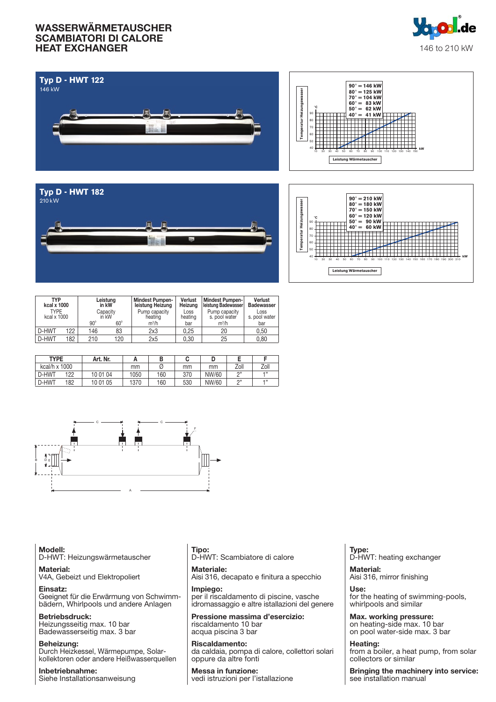







| TYP<br>kcal x 1000         |     |                   | Leistung<br>in kW | Verlust<br><b>Mindest Pumpen-</b><br>leistung Heizung<br>Heizung |                 | Mindest Pumpen-<br>Ieistung Badewasser | Verlust<br><b>Badewasser</b> |
|----------------------------|-----|-------------------|-------------------|------------------------------------------------------------------|-----------------|----------------------------------------|------------------------------|
| <b>TYPE</b><br>kcal x 1000 |     | Capacity<br>in kW |                   | Pump capacity<br>heating                                         | Loss<br>heating | Pump capacity<br>s. pool water         | Loss<br>s. pool water        |
|                            |     | $90^\circ$        | $60^\circ$        | $m^3/h$                                                          | bar             | $m^3/h$                                | bar                          |
| D-HWT                      | 122 | 146               | 83                | 2x3                                                              | 0.25            | 20                                     | 0.50                         |
| D-HWT                      | 182 | 210               | 120               | 2x5                                                              | 0.30            | 25                                     | 0.80                         |

| <b>TYPE</b>   |     | Art. Nr. |      | в   | v   |       |           |          |
|---------------|-----|----------|------|-----|-----|-------|-----------|----------|
| kcal/h x 1000 |     |          | mm   | Ø   | mm  | mm    | Zoll      | Zoll     |
| D-HWT         | 122 | 10 01 04 | 1050 | 160 | 370 | NW/60 | $\bigcap$ | $-133$   |
| D-HWT         | 182 | 10 01 05 | 1370 | 160 | 530 | NW/60 | $\bigcap$ | $-1, 33$ |



Modell: D-HWT: Heizungswärmetauscher

Material: V4A, Gebeizt und Elektropoliert

Einsatz: Geeignet für die Erwärmung von Schwimmbädern, Whirlpools und andere Anlagen

Betriebsdruck: Heizungsseitig max. 10 bar Badewasserseitig max. 3 bar

Beheizung: Durch Heizkessel, Wärmepumpe, Solarkollektoren oder andere Heißwasserquellen

Inbetriebnahme: Siehe Installationsanweisung Tipo: D-HWT: Scambiatore di calore

Materiale: Aisi 316, decapato e finitura a specchio

Impiego: per il riscaldamento di piscine, vasche idromassaggio e altre istallazioni del genere

Pressione massima d'esercizio: riscaldamento 10 bar acqua piscina 3 bar

Riscaldamento: da caldaia, pompa di calore, collettori solari oppure da altre fonti

Messa in funzione: vedi istruzioni per l'istallazione Type: D-HWT: heating exchanger

Material: Aisi 316, mirror finishing

Use: for the heating of swimming-pools, whirlpools and similar

Max. working pressure: on heating-side max. 10 bar on pool water-side max. 3 bar

Heating: from a boiler, a heat pump, from solar collectors or similar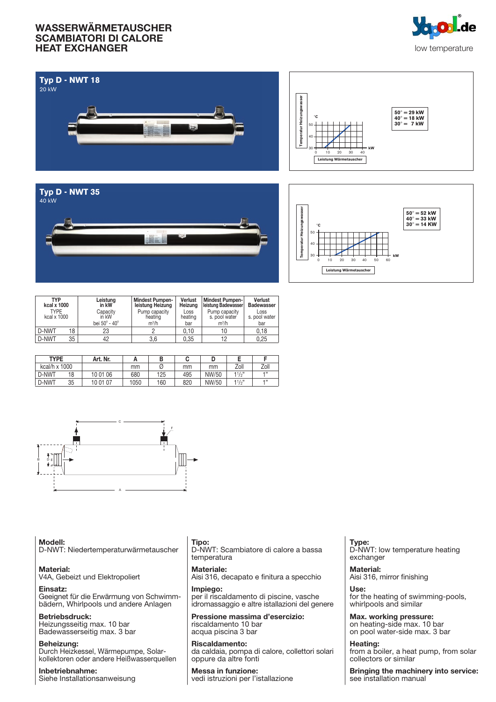







| <b>TYP</b><br>kcal x 1000  |    | Leistung<br>in kW | <b>Mindest Pumpen-</b><br>leistung Heizung | Verlust<br>Heizung | Mindest Pumpen-<br>leistung Badewasser | Verlust<br><b>Badewasser</b> |
|----------------------------|----|-------------------|--------------------------------------------|--------------------|----------------------------------------|------------------------------|
| <b>TYPE</b><br>kcal x 1000 |    | Capacity<br>in kW | Pump capacity<br>heating                   | Loss<br>heating    | Pump capacity<br>s. pool water         | Loss<br>s. pool water        |
|                            |    | bei 50° - 40°     | $m^3/h$                                    | bar                | $m^3/h$                                | bar                          |
| D-NWT                      | 18 | 23                |                                            | 0.10               | 10                                     | 0.18                         |
| D-NWT                      | 35 | 42                | 3,6                                        | 0.35               | 12                                     | 0.25                         |

| <b>TYPE</b>   |    | Art. Nr. |      |     |     |       |                  |          |
|---------------|----|----------|------|-----|-----|-------|------------------|----------|
| kcal/h x 1000 |    |          | mm   |     | mm  | mm    | Zoll             | Zoll     |
| D-NWT         | 18 | 10 01 06 | 680  | 125 | 495 | NW/50 | $11/\frac{1}{2}$ | $-1, 33$ |
| D-NWT         | 35 | 10 01 07 | 1050 | 160 | 820 | NW/50 | 11/2"            | $-1, 33$ |



Modell: D-NWT: Niedertemperaturwärmetauscher

Material: V4A, Gebeizt und Elektropoliert

Einsatz: Geeignet für die Erwärmung von Schwimmbädern, Whirlpools und andere Anlagen

Betriebsdruck: Heizungsseitig max. 10 bar Badewasserseitig max. 3 bar

Beheizung: Durch Heizkessel, Wärmepumpe, Solarkollektoren oder andere Heißwasserquellen

Inbetriebnahme: Siehe Installationsanweisung Tipo:

D-NWT: Scambiatore di calore a bassa temperatura

Materiale: Aisi 316, decapato e finitura a specchio

Impiego: per il riscaldamento di piscine, vasche idromassaggio e altre istallazioni del genere

Pressione massima d'esercizio: riscaldamento 10 bar acqua piscina 3 bar

Riscaldamento: da caldaia, pompa di calore, collettori solari oppure da altre fonti

Messa in funzione: vedi istruzioni per l'istallazione

Type: D-NWT: low temperature heating exchanger

Material: Aisi 316, mirror finishing

Use: for the heating of swimming-pools, whirlpools and similar

Max. working pressure: on heating-side max. 10 bar on pool water-side max. 3 bar

Heating: from a boiler, a heat pump, from solar collectors or similar